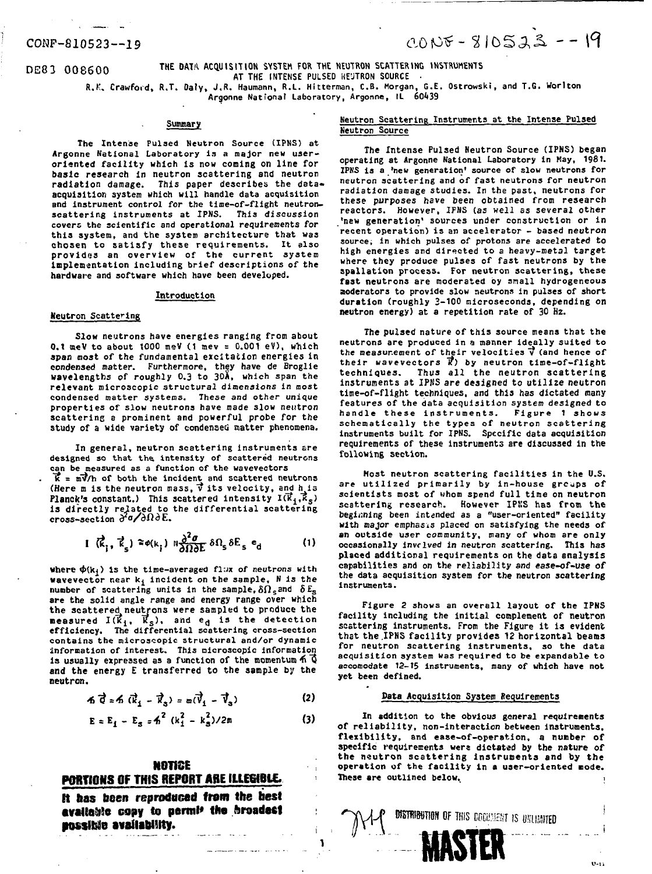# CONP-S10523—19

 $CONF - 810523 - -19$ 

DE83 008600

**THE DATA ACQUISITION SYSTEM FOR THE NEUTRON SCATTERING INSTRUMENTS AT THE INTENSE PULSED NE'JTRON SOURCE • R.K. Crawford, R.T. Daly, J.R. Haumann, R.L. Hitterroan, C.B. Morgan, G.E. Ostrowski, and T.G. Worlton Argonne National Laboratory, Argonne, IL 60439**

**Summary** 

**The Intense Pulsed Neutron Source (IPNS) at Argonne National Laboratory is a major new useroriented facility which is now coming on line for basic research in neutron scattering and neutron radiation damage. This paper describes the dataacquisition system which will handle data acquisition Bnd instrument control for the time-of-flight neutronscattering Instruments at IPNS. This discussion covers the scientific and operational requirements** *for* **this system, and the system architecture that was chosen to satisfy these requirements. It also provides an overview of the current system Implementation including brief descriptions of the hardware and software which have been developed.**

# **Introduction**

# **Heutron Scattering**

**Slow neutrons have energies ranging from about 0.1 aieV to about 1000 meV (1 raev = 0.001 eV), wMch span most of the fundamental excitation energies in condensed matter. Furthermore, they have de Broglie wavelengths of roughly 0.3 to 30A, which span the relevant microscopic structural dimensions in most condensed matter systems. These and other unique properties of slow neutrons have made slow** *neutron* **scattering a prominent and powerful probe for the study of a wide variety of condensed matter phenomena.**

**In general, neutron scattering instruments sre** designed so that the intensity of scattered neutrons **can be measured as a function of the wavevectors**

**T? = mvVh of both the incident and scattered neutrons (Here m is the neutron mass,**  $\vec{v}$  its velocity, and h<sub>ris</sub> **Planck's constant.)** This scattered intensity  $I(\vec{k}_1, \vec{k}_s)$ **is directly related to the differential scattering cross-section** *dfldE*

$$
I(\vec{k}_1, \vec{k}_s) \approx \phi(k_i) \; \mathbb{I}_{\partial \Omega \partial E}^{\partial^2 \sigma} \delta \Omega_s \delta E_s \; \mathbf{e}_d \qquad (1)
$$

**where**  $\phi(k_f)$  **is the time-averaged flux of neutrons with wavevector near kj incident on the sample, N is the number** of scattering units in the sample,  $\delta\Omega_s$  and  $\delta E_s$ **are the solid angle range and energy range over which the scattered neutrons were sampled to produce the measured Kkj, Ks), and ed is the detection efficiency. The differential scattering cross-section contains the microscopic structural and/or dynamic Information of interest. This microscopic information** is usually expressed as a function of the momentum  $\tilde{A}$   $\tilde{Q}$ **and the energy E transferred to the sample by the neutron.**

$$
6\overrightarrow{Q} = 6\overrightarrow{k}_1 - \overrightarrow{k}_3 = \omega(\overrightarrow{V}_1 - \overrightarrow{V}_3)
$$
 (2)

$$
E = E_1 - E_s = h^2 (k_1^2 - k_s^2)/2m
$$
 (3)

# **NOTICE PORTIONS OF THIS REPORT ABE ItlEWBiC.**

**It Has been reproduced from the best avaiia&!e copy to pertnl\* the broadest possible availability.**

# **Neutron Scattering Instruments at the Intense Pulsed Neutron Source**

**The Intense Pulsed Neutron Source (IPNS) began operating at Argonne National Laboratory in Hay, 1981. IPNS is a 'new generation' source of slow neutrons for neutron scattering and of fast neutrons for neutron radiation damage studies. In the past, neutrons for these purposes have been obtained from research reactors. However, IPNS (as well as several other 'new generation' sources under construction** *or* **in recent operation) is an accelerator - based neutron source; in which pulses of protons are accelerated to high energies and directed to a heavy-metal target where they produce pulses of fast neutrons by the spallation process. For neutron scattering, these fast neutrons are moderated by snail hydrogeneous aoderators to provide slow neutrons in pulses of short duration (roughly 3-100 microseconds, depending on neutron energy) at a repetition rate of 30 Hz.**

**The pulsed nature of this source means that the neutrons are produced in a manner ideally suited to** the measurement of their velocities  $\vec{v}$  (and hence of **their wavevectors 1?) by neutron time-of-flight techniques. Thus all the neutron scattering instruments at IPNS** *are* **designed to utilize neutron time-of-flight techniques, and this has dictated many features of the data acquisition system designed to handle these instruments. Figure 1 shows schematically the types of neutron scattering instruments built for IPNS. Specific data acquisition requirements of these instruments are discussed in the following section.**

**Host neutron scattering facilities in the U.S. are utilized primarily by in-house groups of scientists most of whom spend full time on neutron scattering research. However IPKS has from the beginning been intanded as a "user-oriented" facility with** *najor* **emphasis placed on satisfying the needs of an outside user community, many of whom are only occasionally involved** *in neutron* **scattering. This has placed additional requirements on the data analysis capabilities and on the reliability and ease-of-use of the data acquisition system for the neutron scattering instruments.**

**Figure 2 shows an overall layout of the IPNS facility including the initial complement of neutron scattering instruments. From the Figure it is evident that the .IPNS facility provides** *12* **horizontal beams for neutron scattering instruments, so the data acquisition system was required to be expandable to accomodate** *12-15* **Instruments, many of which have not yet been defined.**

### **Data Acquisition System Requirements**

**In addition to the obvious general requirements of reliability, non-interaction between instruments, flexibility, and ease-of-operation, a nunber of specific requirements were dictated by the nature of the neutron scattering Instruments and by the operation of the facility in a user-oriented mode.** These are outlined below.

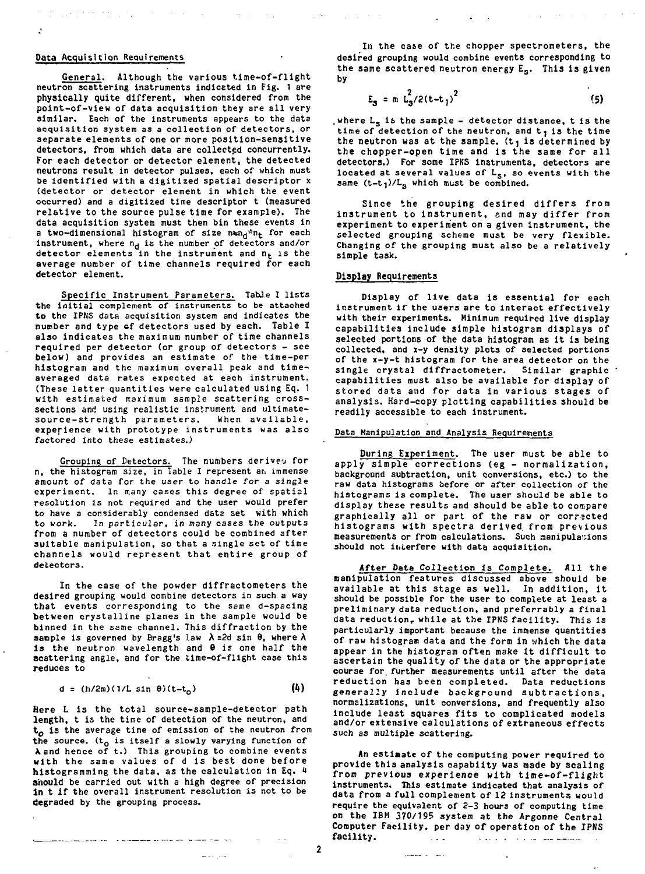# Data Acquisition Requirements

 $\mathbf{r}$ 

General. Although the various time-of-flight neutron scattering instruments indicated in Fig. 1 are physically quite different, when considered from the point-of-view of data acquisition they are all very similar. Each of the instruments appears to the data acquisition system as a collection of detectors, or separate elements of one or more position-sensitive detectors, from which data are collected concurrently. For each detector or detector element, the detected neutrons result in detector pulses, each of which must be identified with a digitized spatial descriptor x (detector or detector element in which the event occurred) and a digitized time descriptor t (measured relative to the source pulse time for example). The data acquisition system must then bin these events in a two-dimensional histogram of size  $n_{\text{en}}$ <sup>\*n</sup>t for each instrument, where  $n_d$  is the number of detectors and/or instrument, where m<sub>d</sub> is the number of detectors and/or<br>detector elements in the instrument and n. is the average number of time channels required for each detector element.

Specific Instrument Parameters. TabJe 1 lists the initial complement of instruments to be attached to the IPNS data acquisition system and indicates the number and type of detectors used by each. Table I also indicates the maximum number of time channels required per detector (or group of detectors - see below) and provides an estimate of the time-per histogram and the maximum overall peak and timeaveraged data rates expected at each instrument. (These latter quantities were calculated using Eq. 1 with estimated maximum sample scattering crosssections and using realistic instrument and ultimatesource-strength parameters. When available, experience with prototype instruments was also factored into these estimates.)

Grouping of Detectors. The numbers derives for n, the histogram size, in Table I represent at. immense amount of data for the user to handle for a single experiment. In many cases this degree of spatial resolution is not required and the user would prefer to have a considerably condensed data set with which to work. In particular, in many cases the outputs from a number of detectors could be combined after suitable manipulation, so that a single set of time channels would represent that entire group of detectors.

In the case of the powder diffractometers the desired grouping would combine detectors in such a way that events corresponding to the same d-spacing between crystalline planes in the sample would be binned in the same channel. This diffraction by the sample is governed by Bragg's law  $\lambda$  =2d sin  $\theta$ , where  $\lambda$ is the neutron wavelength and 6 is one half the scattering angle, and for the time-of-flight case this reduces to

$$
d = (h/2m)(1/L \sin \theta)(t-t_0)
$$
 (4)

Here L is the total source-sample-detector path length, t is the time of detection of the neutron, and  $t<sub>0</sub>$  is the average time of emission of the neutron from the source.  $(t_0$  is itself a slowly varying function of *K*and hence of t.) This grouping to combine events with the same values of d is best done before histogrsmming the data, as the calculation in Eq. 4 should be carried out with a high degree of precision In t if the overall instrument resolution is not to be degraded by the grouping process.

In the case of the chopper spectrometers, the desired grouping would combine events corresponding to the same scattered neutron energy E<sub>s</sub>. This is given by

$$
E_3 = m L_3^2 / 2(t - t_1)^2
$$
 (5)

where  $\mathtt{L_S}$  is the sample - detector distance, t is the time of detection of the neutron, and  $t_1$  is the time the neutron was at the sample.  $(t_1$  is determined by the chopper-open time and is the same for all detectors.) For some IPNS instruments, detectors are located at several values of L<sub>S</sub>, so events with the same  $(t-t_1)/L_s$  which must be combined.

Since the grouping desired differs from instrument to instrument, and may differ from experiment to experiment on a given instrument, the selected grouping scheme must be very flexible. Changing of the grouping must also be a relatively simple task.

# **Display** Requirements

Display of live data is essential for each instrument if the users are to interact effectively with their experiments. Minimum required live display capabilities include simple histogram displays of selected portions of the data histogram as it is being collected, and x-y density plots of selected portions of the x-y-t histogram for the area detector on the single crystal diffractometer. Similar graphic capabilities must also be available for display of stored data and for data in various stages of analysis. Hard-copy plotting capabilities should be readily accessible to each instrument.

# Data Manipulation and Analysis Requirements

During Experiment. The user must be able to apply simple corrections (eg - normalization, background subtraction, unit conversions, etc.) to the raw data histograms before or after collection of the histograms is complete. The user should be able to display these results and should be able to compare graphically all or part of the raw or corrected histograms with spectra derived, from previous measurements or from calculations. Such manipulations should not interfere with data acquisition.

After Data Collection is Complete. All the manipulation features discussed above should be available at this stage as well. In addition, it should be possible for the user to complete at least a preliminary data reduction, and preferrably a final data reduction, while at the IPNS facility. This is particularly important because the immense quantities of raw histogram data and the form in which the data appear in the histogram often make it difficult to ascertain the quality of the data or the appropriate course for. further measurements until after the data reduction has been completed. Data reductions generally include background subtractions, normalizations, unit conversions, and frequently also Include least squares fits to complicated models and/or extensive calculations of extraneous effects such as multiple scattering.

An estimate of the computing power required to provide this analysis eapabiity was made by scaling from previous experience with time-of-flight instruments. This estimate indicated that analysis of data from a full complement of 12 instruments would require the equivalent of 2-3 hours of computing time on the IBM 370/195 system at the Argonne Central Computer Facility, per day of operation of the IPNS facility. The set of the set of the set of the set of the set of the set of the set of the set of the set of the set of the set of the set of the set of the set of the set of the set of the set of the set of the set of the star and a straightful and additional

**Company of Congress** 

 $\boldsymbol{\mathcal{P}}$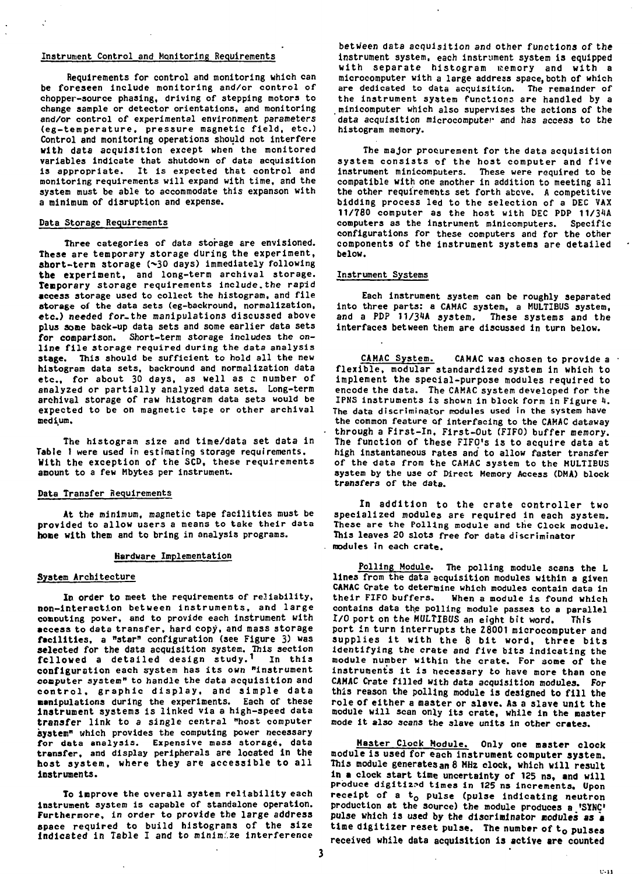### **Instrument Control and Monitoring Requirements**

**Requirements for control and monitoring which can be foreseen include monitoring and/or control of chopper-source phasing, driving of stepping motors to change sample or detector orientations, and monitoring and/or control of experimental environment parameters (eg-temperature, pressure magnetic field, etc.) Control and monitoring operations should not interfere with data acquisition except when the monitored variables indicate that shutdown of data acquisition is appropriate. It is expected that control and monitoring requirements will expand with time, and the system must be able to accommodate this expanson with a minimum of disruption and expense.**

# **Data Storage Requirements**

**Three categories of data storage are envisioned. These are temporary storage during the experiment,** short-term storage (~30 days) immediately following **the experiment, and long-term archival storage. Tenporary storage requirements Include.the rapid access storage used to collect the histogram, and file storage of the data sets (eg-backround, normalization, etc.) needed for-the manipulations discussed above plus some back-up data sets and some earlier data sets for comparison. Short-term storage includes the online fil e storage required during the data analysis stage. This should be sufficient to hold all the new histogram data sets, backround and normalization data etc., for about 30 days, as well as c number of analyzed or partially analyzed data sets. Long-term archival storage of raw histogram data set3 would be expected to be on magnetic tape or other archival medium.**

**The histogram size and time/data set data in Table I were used in estimating storage requirements. Kith the exception of the SCD, these requirements amount to a few Mbytes per instrument.**

# **Data Transfer Requirements**

**At the minimum, magnetic tape facilities must be provided to allow users a means to take their data hone with them and to bring in analysis programs.**

### **Hardware Implementation**

#### **System Architecture**

**In order to meet the requirements of reliability, non-interaction between instruments, and large conouting power, and to provide each instrument with access to data transfer, hard copy, and mass storage facilities, a "star" configuration (see Figure 3) was selected for the data acquisition system. This section followed a detailed design study. <sup>1</sup> In this configuration each system has its own "instrument computer system" to handle the data acquisition and control , graphi c display , and simpl e data •anipulations during the experiments. Each of these instrument systems is linked via a high-speed data transfer link to a single central "host computer system" which provides the computing power necessary for data analysis. Expensive mass storage, data transfer, and display peripherals are located in the** host system, where they are accessible to all instruments.

**To improve the overall system reliability each instrument system is capable of standalone operation. Furthermore, in order to provide the large address space required to build histograms of the size Indicated in Table I and to minimize interference**

**between data acquisition and other functions of the instrument system, each instrument system is equipped with separate histogram memory and with a microcomputer with a large address space, both of which are dedicated to data acquisition. The remainder of the instrument system functions are handled by a minicomputer which also supervises the actions of the data acquisition microcomputer and has access to the histogram memory.**

**The major procurement for the data acquisition system consists of the host computer and five instrument minicomputers. These were required to be compatible with one another in addition to meeting all the other requirements set forth above. A competitive bidding process led to the selection of a DEC VAX 11/780 computer as the host with DEC PDP 11/34A computers as the instrument minicomputers. Specific configurations for these computers and for the other components of the instrument systems are detailed below.**

# **Instrument Systems**

**Each Instrument system can be roughly separated into three parts: a CAMAC system, a MULTIBUS system, and a PDP 11/31A system. These systems and the interfaces between them are discussed in turn below.**

**CAHAC System. CAMAC was chosen to provide a flexible, modular standardized system in which to implement the special-purpose modules required to encode the data. The CAMAC system developed for the IPNS instruments is shown in block form in Figure 1. The data discriminator modules used in the system have the common feature of interfacing to the CAMAC dataway through a First-In. First-Out (FIFO) buffer memory.** The function of these FIFO's is to acquire data at high instantaneous rates and' to allow faster transfer **of the data from the CAMAC system to the MULTIBUS system by the use of Direct Memory Access (DMA) block transfers of the data.**

In addition to the crate controller two specialized modules are required in each system. **These are the Polling module and the Clock module. This leaves 20 slots free for data discriminator modules in each crate.**

**Polling Module. The polling module scans the L lines from the data acquisition modules within a given CAMAC Crate to determine which modules contain data in their FIFO buffers. When a module is found which contains data the polling module passes to a parallel I/O port on the MULTIBUS an eight bit word. This** port in turn interrupts the Z8001 microcomputer and supplies it with the 8 bit word, three bits **identifying the crate and five bits indicating the nodule number within the crate. For some of the instruments it is necessary to have more than one CAMAC Crate filled with data acquisition modules. For** this reason the polling module is designed to fill the **role of either a master or slave. As a slave unit the module will scan only its crate, while in the master mode it also scans the slave units in other crates.**

**Master Clock Module. Only one master clock module is used for each instrument computer system. This module generates an 8 MHz clock, which will result in a clock start time uncertainty of 125 ns, and will produce digitized times in 125 ns increments. Upon** receipt of a t<sub>o</sub> pulse (pulse indicating neutron **production at the source) the module produces a 'SYNC** pulse which is used by the discriminator nodules as a time digitizer reset pulse. The number of to pulses received while data acquisition is active **are** counted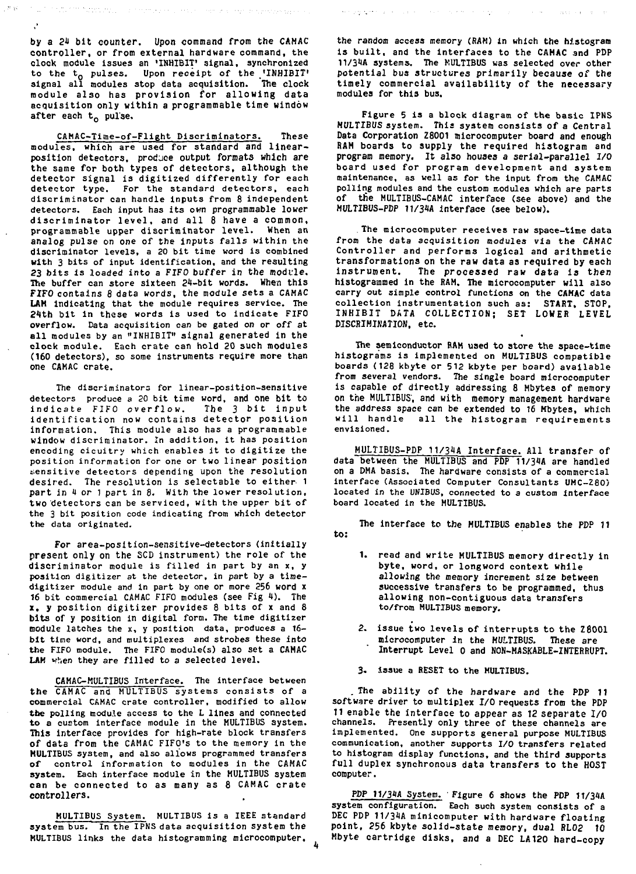by a 24 bit counter. Upon command from the CAMAC **controller, or from external hardware command, the** clock module issues an 'INHIBIT' signal, synchronized to the t<sub>o</sub> pulses. Upon receipt of the 'INHIBIT' signal all modules stop data acquisition. The clock module also has provision for allowing data acquisition only within a programmable time window after each  $t_{0}$  pulse.

.<br>In the first particle of the control of the company and control and company and control of the company of the

 $\mathcal{F}$  is the contract of the projection of  $\mathcal{F}$ 

CAMAC-Time-of-Flight Discriminators. These modules, which are used for standard and linearposition detectors, produce output formats which are the same for both types of detectors, although the detector signal is digitized differently for each detector type. For the standard detectors, each discriminator can handle inputs from 8 independent detectors. Each input has its own programmable lower discriminator level, and all 8 have a common, programmable upper discriminator level. When an analog pulse on one of the inputs falls within the discriminator levels, a 20 bit time word is combined with 3 bits of input identification, and the resulting 23 bits is loaded into a FIFO buffer in the module. The buffer can store sixteen 24-bit words. When this FIFO contains 8 data words, the module sets a CAMAC **LAM** indicating that the module requires service. The 21th bit in these words is used to indicate FIFO overflow. Data acquisition can be gated on or off at all modules by an "INHIBIT" signal generated in the clock module. Each crate can hold 20 such modules clock module, each crate can noid zo such modules<br>(160 detectors) ro some instruments recuire more than one CAMAC crate.

The discriminators for linear-position-sensitive detectors produce a 20 bit time word, and one bit to indicate FIFO overflow. The 3 bit input identification now contains detector position information. This module also has a programmable window discriminator. In addition, it has position encoding cicuitry which enables it to digitize the position information for one or two linear position sensitive detectors depending upon the resolution desired. The resolution is selectable to either 1 part in 4 or 1 part in 8. With the lower resolution, two detectors can be serviced, with the upper bit of the 3 bit position code indicating from which detector the data originated.

For area-position-sensitive-detectors (initially present only on the SCD instrument) the role of the discriminator module is filled in part by an x, y position digitizer at the detector, in part by a timedigitizer module and in part by one or more 256 word x 16 bit commercial CAMAC FIFO modules (see Fig 4). The x. y position digitizer provides 8 bits of x and 8 bits of y position in digital form. The time digitizer module latches the x, y position data, produces a 16 bit time word, and multiplexes and strobes these into the FIFO module. The FIFO module(s) also set a CAMAC LAM when they are filled to a selected level.

CAMAC-MULTIBUS Interface. The interface between the CAMAC and MULTIBUS systems consists of a commercial CAMAC crate controller, modified to allow the polling nodule access to the L lines and connected to a custom interface module in the MULTIBUS system. This interface provides for high-rate block transfers of data from the CAMAC FIFO's to the memory in the MULTIBUS system, and also allows programmed transfers of control information to modules in the CAMAC system. Each interface module in the MULTIBUS system **can be connected to as many as 8 CAMAC crate controllers.**

MULTIBUS System. MULTIBUS is a IEEE standard system bus. In the IPNS data acquisition system the MULTIBUS links the data histogramming microcomputer. the random access memory (RAN) in which the histogram is built, and the interfaces to the CAMAC and PDP 11/31A systems. The MULTIBUS was selected over other potential bus structures primarily because of the timely commercial availability of the necessary modules for this bus.

en aggreger i alle ligger i level i delen en level i

Figure 5 is a block diagram of the basic IPNS MULTIBUS system. This system consists of a Central Data Corporation Z8001 microcomputer board and enough RAM boards to supply the required histogram and program memory. It also houses a serial-parallel I/O board used for program development and system maintenance, as well as for the input from the CAMAC polling modules and the custom modules which are parts of the MULTIBUS-CAMAC interface (see above) and the MULTIBUS-PDP 11/34A interface (see below).

The microcomputer receives raw space-time data from the data acquisition modules via the CAMAC Controller and performs logical and arithmetic transformations on the raw data as required by each instrument. The processed raw data is then histogrammed in the RAM. The microcomputer will also carry out simple control functions on the CAMAC data collection instrumentation such as: START, STOP, INHIBIT DATA COLLECTION; SET LOWER LEVEL DISCRIMINATION, etc.

The semiconductor BAM used to store the space-time histograms is implemented on MULTIBUS compatible boards (128 kbyte or 512 kbyte per board) available from several vendors. The single board microcomputer is capable of directly addressing 8 Mbytes of memory on the MULTIBUS', and with memory management hardware the address space can be extended to 16 Mbytes, which will handle all the histogram requirements envisioned.

MULTIBUS-PDP 11/34A Interface. All transfer of data between the MULTIBUS and PDP 11/34A are handled on a DMA basis. The hardware consists of a commercial interface (Associated Computer Consultants UMC-Z80) located in the UKIBUS, connected to a custom interface board located in the MULTIBUS.

**to: The interface to the MULTIBUS enables the PDP 11**

- 1. read and write MULTIBUS memory directly in byte, word, or longword context while **allowing the memory increment size between successive transfers to be programmed, thus allowing non-contiguous data transfers to/from MULTIBUS memory.**
- **2. issue two levels of interrupts to the Z8001 microcomputer in the MULTIBUS. These are Interrupt Level 0 and NON-MASKABLE-INTERRUPT.**
- **3. issue a RESET to the MULTIBUS.**

. The ability of the hardware and the PDP 11 software driver to multiplex I/O requests from the PDP IT enable the interface to appear as 12 separate I/O channels. Presently only three of these channels are implemented. One supports general purpose MULTIBUS communication, another supports I/O transfers related to histogram display functions, and the third supports full duplex synchronous data transfers to the HOST computer.

PDP 11/31A System. Figure 6 shows the PDP 11/34A system configuration. Each such system consists of a DEC PDP 11/31A minicomputer with hardware floating point, 256 kbyte solid-state memory, dual RL02 to Mbyte cartridge disks, and a DEC LA120 hard-copy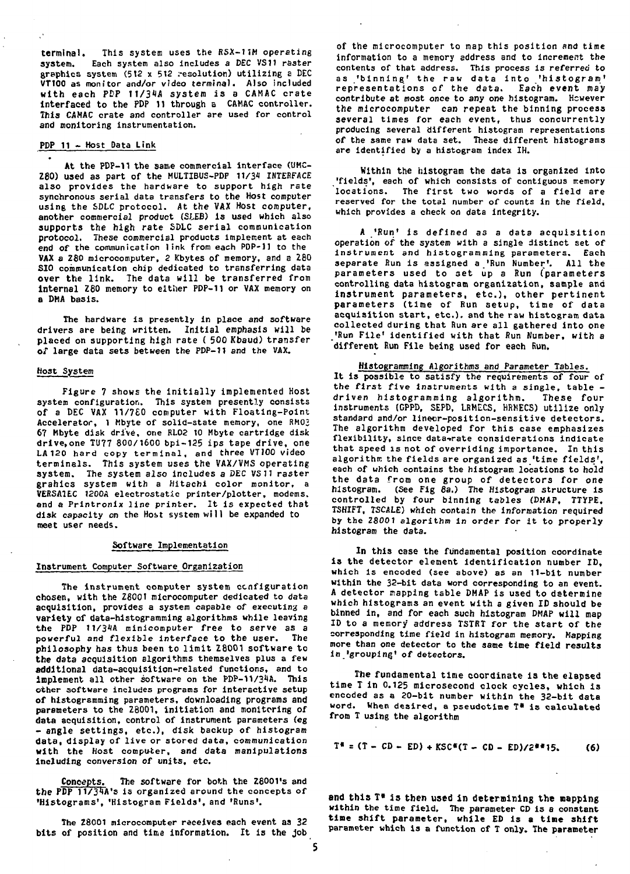**terminal. This system uses the RSX-11M operating system. Each system also includes a DEC VS11 raster graphics system (512 x 5t2 .-esolution) utilizing a DEC VT100 as monitor and/or video terminal. Also included with each PDP JJ/34A system is a CAMAC crate interfaced to the PDP 11 through a CAMAC controller. This CAMAC crate and controller are used for control and monitoring instrumentation.**

# **PDP 11 - Host Data Link**

**At the PDP-11 the same commercial Interface (UMC-Z80) used as part of the MULTIBUS-PDP t1/3« INTERFACE also provides the hardware to support high rate synchronous serial data transfers to the Host computer using the SDLC protocol. At the VAX Host computer, another commercial product (SIEB) is used which also supports the high rate SDLC serial communication protocol. These commercial products implement at each end of the communication link from each PDP-11 to the VAX s Z80 microcomputer, 2 Kbytes of memory, and a Z80 SIO communication chip dedicated to transferring data over the link. The data will be transferred from internal Z80 memory to either PDP-11 or VAX memory on a DMA basis.**

**The hardware is presently in place and software drivers are being written. Initial emphasis will be placed on supporting high rate ( 500 Kbaud) transfer of large data sets between the PDP-11 and the VAX.**

### **Host System**

Figure 7 shows the initially implemented Host **system configuration. This system presently consists of a DEC VAX 11/760 computer with Floating-point Accelerator, 1 Mbyte of solid-state memory, one RM02 67 Mbyte disk drive, one RL02 10 Mbyte cartridge disk drive.one TU77 800/1600 bpi-125 ips tape drive, one LA 120 hard copy terminal, and three VT100 video terminals. This system uses the VAX/VMS operating system. The system also includes a DEC VS 11 raster grahics system with a Hitachi color monitor, a VERSA7EC 1200A electrostatic printer/plotter, modems. and a Printronix line printer. It is expected that disk capacity on the Host system will be expanded to meet user needs.**

# **Software Implementation**

### **Instrument Computer Software Organization**

The instrument computer system configuration **chosen, with the Z8001 microcomputer dedicated to data acquisition, provides a system capable of executing a variety of data-histogramming algorithms while leaving the PDP 11/34A minicomputer free to serve as a powerful and flexible interface to the user. The philosophy has thus been to limit Z8001 software to the data acquisition algorithms themselves plus a few additional data-acquisition-related functions, and to implement all other software on the PDP-11/31A. This other software includes programs for interactive setup of histogrsmming parameters, downloading programs and parameters to the Z8001, initiation and monitoring of data acquisition, control of instrument parameters (eg - angle settings, etc.), disk backup of histogram data, display of live or stored data, communication with the Host computer, and data manipulations including conversion of units, etc.**

Concepts. The software for both the 28001's and **the PDP 11/3tA's is organized around the concepts of •Histograms', "Histogram Fields', and 'Runs'.**

**The Z8001 microcomputer receives each event as 32 bits of position and time information. It is the job**

**of the microcomputer to map this position and time information to a memory address and to increment the contents of that address. This process is** *referred* **to** as 'binning' the raw data into 'histogram' **representations of the data. Each event may contribute at most once to any one histogram. However the microcomputer can repeat the binning process several times for each event, thus concurrently producing several different histogram representations of the same raw data set. These different histograms are identified by a histogram index IH.**

**Within the histogram the data is organized into** 'fields', each of which consists of contiguous memory **locations. The first two words of a field are reserved for the total number of counts in the field, which provides a check on data integrity.**

**A 'Run' is defined as a data acquisition operation of the system with a single distinct set of Instrument and histogramming parameters. Each separate Run is assigned a 'Run Number'. All the** parameters used to set up a Run (parameters controlling data histogram organization, sample and instrument parameters, etc.), other pertinent **parameters (time of Run setup, time of data acquisition start, etc.), and the raw histogram data collected during that Run are all gathered into one 'Run File <sup>1</sup> identified with that Run Number, with a different Run File being used for each Run.**

# **Histogramming Algorithms and Parameter Tables.**

**It is possible to satisfy the requirements of four of the first five instruments with a single, table driven histogramroing algorithm. These four instruments (GPPD, SEPD, LRMECS, HRMECS) utilize only standard and/or lineor-position-sensitive detectors. The algorithm developed for this case emphasizes flexibility, since data-»rate considerations indicate that speed is not of overriding importance. In this algorithm the fields are organized as "time fields', each of which contains the histogram locations to hold** the data from one group of detectors for one **histogram. (See Fig 6a.) The Histogram structure is controlled by four binning tables (DMAP, TTYPE, TSHIFT, TSCALE) which contain the information required by the** *28001* **algorithm in order for it to properly histogram the data.**

**In this case the fundamental position coordinate is the detector element identification number ID, which is encoded (see above) as an 11-bit number within the 32-bit data word corresponding to an event. A detector napping table DMAP is used to determine which histograms an event with a given ID should be binned in, and for each such histogram DMAP will map ID to a memory address TSTRT for the start of the corresponding time field in histogram memory. Mapping more than one detector to the same time field results in 'grouping' of detectors.**

**The fundamental time coordinate is the elapsed time T in 0.125 microsecond clock cycles, which is encoded as a 20-bit number within the 32-bit data word. When desired, a pseudotime T\* is calculated from T using the algorithm**

$$
T^* = (T - CD - ED) + KSC*(T - CD - ED)/2^{a+1}5,
$$
 (6)

**and this T» is then used in determining the napping** within the time field. The parameter CD is a constant **time shift parameter, while ED is a tine shift** parameter which is a function of T only. The parameter

5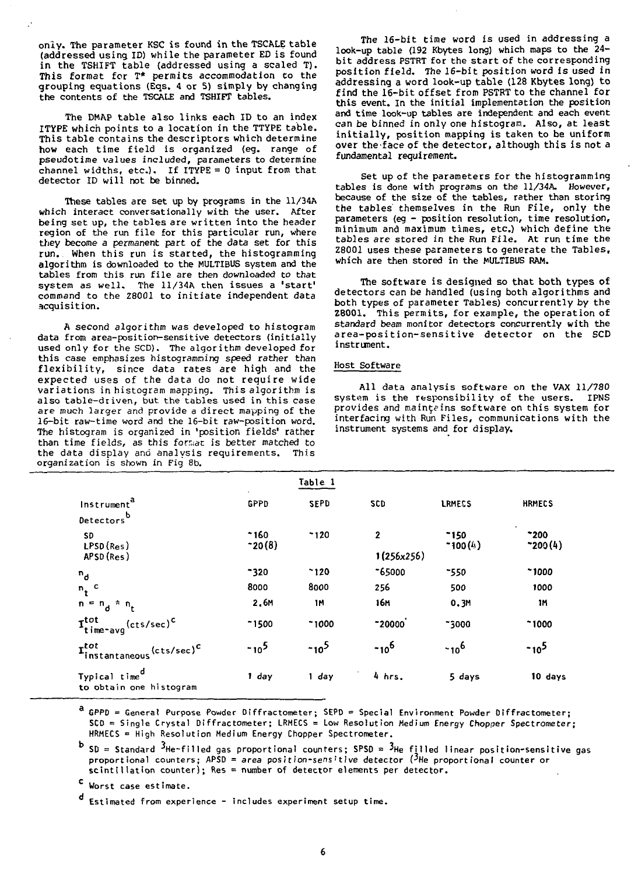only. The parameter KSC is found in the TSCALE table (addressed using ID) while the parameter ED is found in the TSHIFT table (addressed using a scaled T). This format for T\* permits accommodation to the grouping equations (Eqs. 4 or 5) simply by changing the contents of the TSCALE and TSHIFT tables.

The DMAP table also links each ID to an index ITYPE which points to a location in the TTYPE table. This table contains the descriptors which determine how each time field is organized (eg. range of pseudotime values included, parameters to determine channel widths, etc.). If ITYPE = 0 input from that detector ID will not be binned.

These tables are set up by programs in the 11/34A which interact conversationally with the user. After being set up, the tables are written into the header region of the run file for this particular run, where they become a permanent part of the data set for this run. When this run is started, the histogramming algorithm is downloaded to the MULTIBUS system and the tables from this run file are then downloaded to that system as well. The 11/34A then issues a 'start' command to the Z8001 to initiate independent data acquisition.

A second algorithm was developed to histogram data from area-position-sensitive detectors (initially used only for the SCD). The algorithm developed for this case emphasizes histogramning speed rather than flexibility, since data rates are high and the expected uses of the data do not require wide variations in histogram mapping. This algorithm is also table-driven, but the tables used in this case are much larger and provide a direct mapping of the 16-bit raw-time word and the 16-bit raw-position word. The histogram is organized in 'position fields' rather than time fields, as this forsac is better matched to the data display and analysis requirements. This organization is shown in Fig 8b.

The 16-bit time word is used in addressing a look-up table (192 Kbytes long) which maps to the 24 bit address PSTRT for the start of the corresponding position field. The 16-bit position word is used in addressing a word look-up table (128 Kbytes long) to find the 16-bit offset from PSTRT to the channel for this event. In the initial implementation the position and time look-up tables are independent and each event can be binned in only one histogram. Also, at least initially, position mapping is taken to be uniform over the face of the detector, although this is not a fundamental requirement.

Set up of the parameters for the histogramming tables is done with programs on the 11/34A. However, because of the size of the tables, rather than storing the tables themselves in the Run File, only the parameters (eg - position resolution, time resolution, minimum and maximum times, etc.) which define the tables are stored in the Run File. At run time the Z8001 uses these parameters to generate the Tables, which are then stored in the MULTIBUS RAM.

The software is designed so that both types of detectors can be handled (using both algorithms and both types of parameter Tables) concurrently by the Z8001. This permits, for example, the operation of standard beam monitor detectors concurrently with the area-position-sensitive detector on the SCD instrument.

# Host Software

All data analysis software on the VAX 11/780 system is the responsibility of the users. IPNS provides and mainteins software on this system for interfacing with Run Files, communications with the instrument systems and for display.

|                                                                    |                 | Table 1      |              |                   |                  |
|--------------------------------------------------------------------|-----------------|--------------|--------------|-------------------|------------------|
| Instrument <sup>a</sup><br>Detectorsb                              | <b>GPPD</b>     | <b>SEPD</b>  | SCD          | LRMECS            | <b>HRMECS</b>    |
| SD.<br>LPSD(Res)                                                   | $-160$<br>20(8) | $-120$       | $\mathbf{2}$ | $-150$<br>7100(k) | 200<br>7200(4)   |
| APSD (Res)                                                         | 1(256x256)      |              |              |                   |                  |
|                                                                    | $-320$          | $^{\sim}120$ | $-65000$     | ~550              | $-1000$          |
|                                                                    | 8000            | 8000         | 256          | 500               | 1000             |
| $\begin{array}{c} n_d\\ n_t\\ n_t\\ n = n_d\\ n_t \end{array}$     | 2,6M            | 1M           | 16M          | 0.3M              | 1M               |
| $\mathbf{T}^{\text{tot}}_{\text{time-avg}}$ (cts/sec) <sup>c</sup> | $-1500$         | 71000        | $-20000$     | -3000             | $-1000$          |
| $\mathbf{I}^{tot}_{instantaneous}$ (cts/sec) <sup>c</sup>          | $-10^{5}$       | $-10^{5}$    | $-10^{6}$    | $-10^{6}$         | -10 <sup>5</sup> |
| Typical time <sup>d</sup><br>to obtain one histogram               | 1 day           | 1 day        | 4 hrs.       | 5 days            | 10 days          |

<sup>a</sup> GPPD = General Purpose Powder Diffractometer; SEPD = Special Environment Powder Diffractometer;  $SCD =$  Single Crystal Diffractometer; LRMECS = Low Resolution Medium Energy Chopper Spectrometer; HRMECS = High Resolution Medium Energy Chopper Spectrometer.

 $^{\text{b}}$  SD = Standard <sup>3</sup>He-filled gas proportional counters; SPSD = <sup>3</sup>He filled linear position-sensitive gas proportional counters; APSD = area position-sensitive detector ( $^3$ He proportional counter or  $s$ cintillation counter); Res = number of detector elements per detector.

<sup>C</sup> Worst case estimate.

Estimated from experience - includes experiment setup time.

6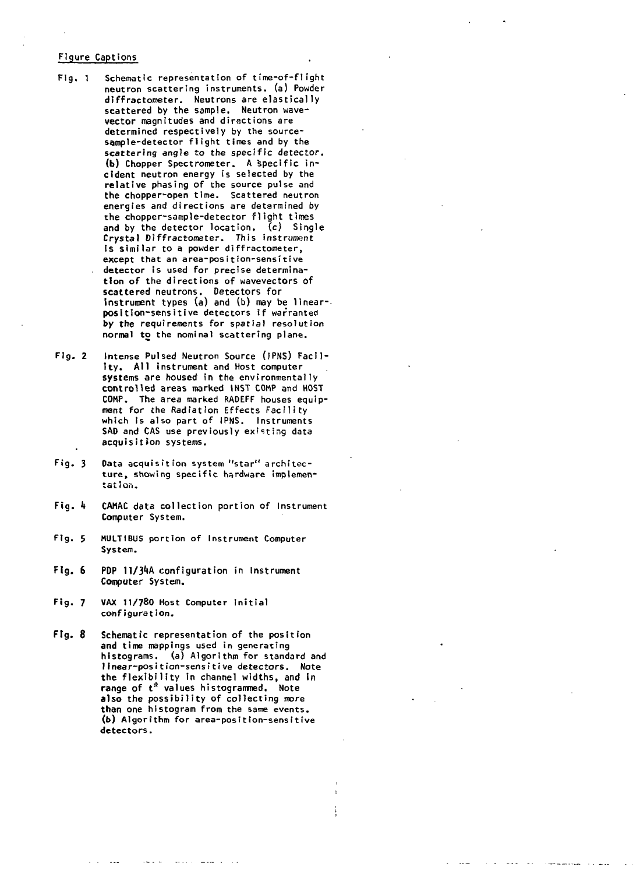# **Figure Captions**

- **Fig. 1 Schematic representation of time-of-f1ight neutron scattering instruments, (a) Powder diffractometer. Neutrons are elastically scattered by the sample. Neutron wavevector magnitudes and directions are determined respectively by the sourcesample-detector flight times and by the scattering angle to the specific detector. (b) Chopper Spectrometer. A specific incident neutron energy is selected by the relative phasing of the source pulse and the chopper-open time. Scattered neutron energies and directions are determined by the chopper-sample-detector flight times and by the detector location, (c) Single Crystal Diffractometer. This instrument Is similar to a powder diffractometer, except that an area-position-sensitive detector is used for precise determination of the directions of wavevectors of scattered neutrons. Detectors for Instrument types (a) and (b) may be linear- position-sensitive detectors if warranted by the requirements for spatial resolution normal to the nominal scattering plane.**
- **Fig. 2 Intense Pulsed Neutron Source (IPNS) Facility. All instrument and Host computer systems are housed in the environmentally controlled areas marked INST COMP and HOST COMP. The area marked RADEFF houses equipment for {he Radiation Effects Facility which is also part of IPNS. Instruments SAD and CAS use previously existing data acquisition systems.**
- **Fig. 3 Oata acquisition system "star" architecture, showing specific hardware implementation.**
- **Fig. h CAMAC data collection portion of Instrument Computer System.**
- **Fig. 5 MULTIBUS portion of Instrument Computer System.**
- **Fig. 6 POP 11/3<sup>1</sup>»A configuration in Instrument Computer System.**
- **Fig. 7 VAX 11/780 Host Computer initial configuration.**
- **Ftg. 8 Schematic representation of the position and time mappings used in generating histograms. (a) Algorithm for standard and linear-position-sensitive detectors. Note the flexibility in channel widths, and in range of t" values histogrammed. Note also the possibility of collecting more than one histogram from the same events. (b) Algorithm for area-posit ton-sensitive detectors.**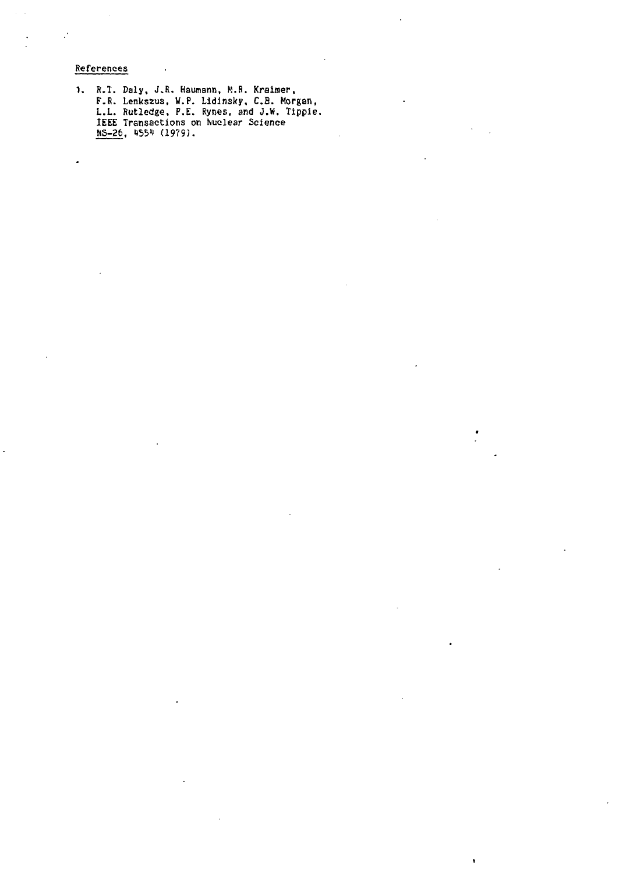**References**

 $\mathbb{R}^3$ 

 $\cdot$ 

**R.T. Daly, J.R. Haumann, K.R. Kraimer, F\R. Lenkszus, W.P. Lidinsky, C.B. Morgan, L.L. Rutledge, P.E. Rynes, and J.W, Tippie. IEEE Transactions on Nuclear Science NS-26, H551 (1979).**

 $\hat{\textbf{v}}$ 

 $\cdot$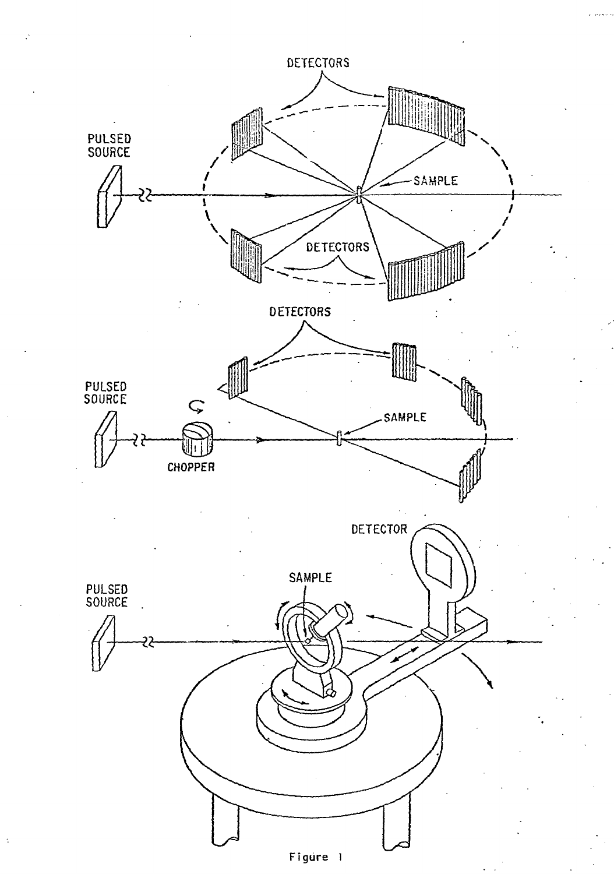

 $\ddot{\phantom{1}}$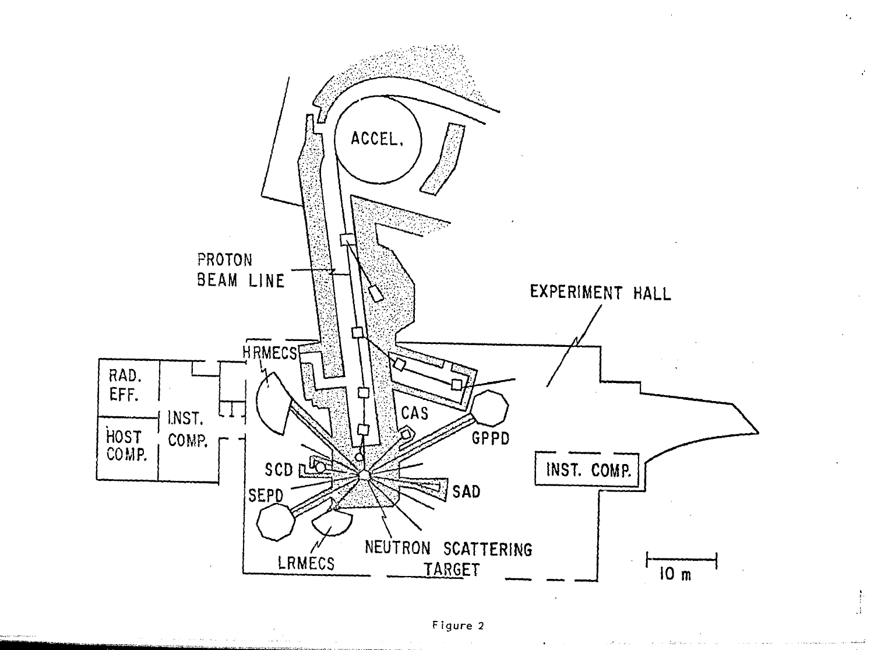

 $\begin{array}{c} \frac{1}{2} \frac{1}{2} \frac{1}{2} \frac{1}{2} \frac{1}{2} \frac{1}{2} \frac{1}{2} \frac{1}{2} \frac{1}{2} \frac{1}{2} \frac{1}{2} \frac{1}{2} \frac{1}{2} \frac{1}{2} \frac{1}{2} \frac{1}{2} \frac{1}{2} \frac{1}{2} \frac{1}{2} \frac{1}{2} \frac{1}{2} \frac{1}{2} \frac{1}{2} \frac{1}{2} \frac{1}{2} \frac{1}{2} \frac{1}{2} \frac{1}{2} \frac{1}{2} \frac{1}{2} \frac{$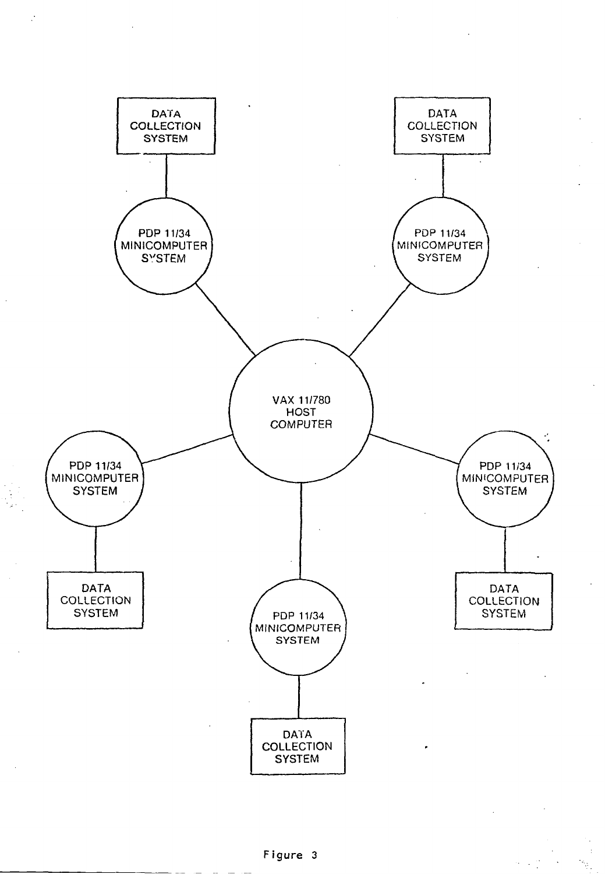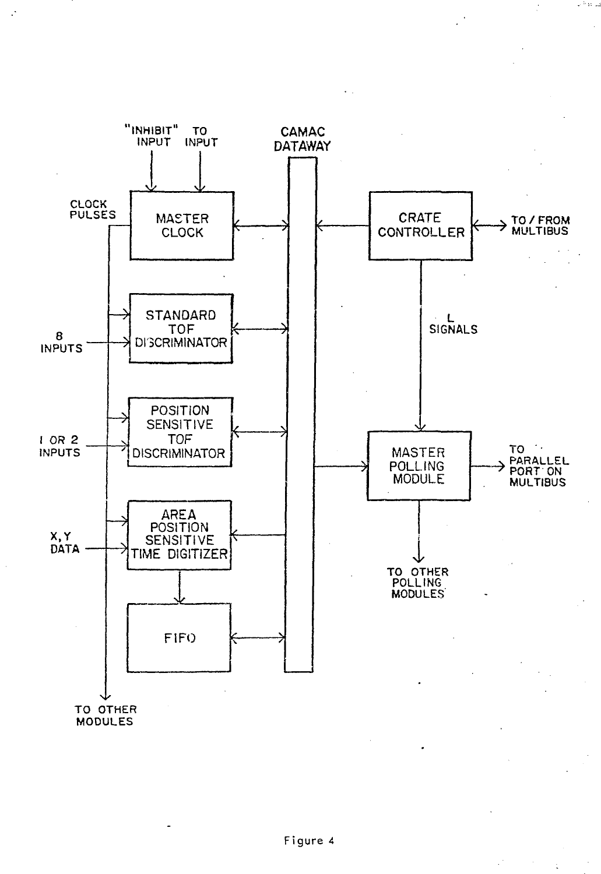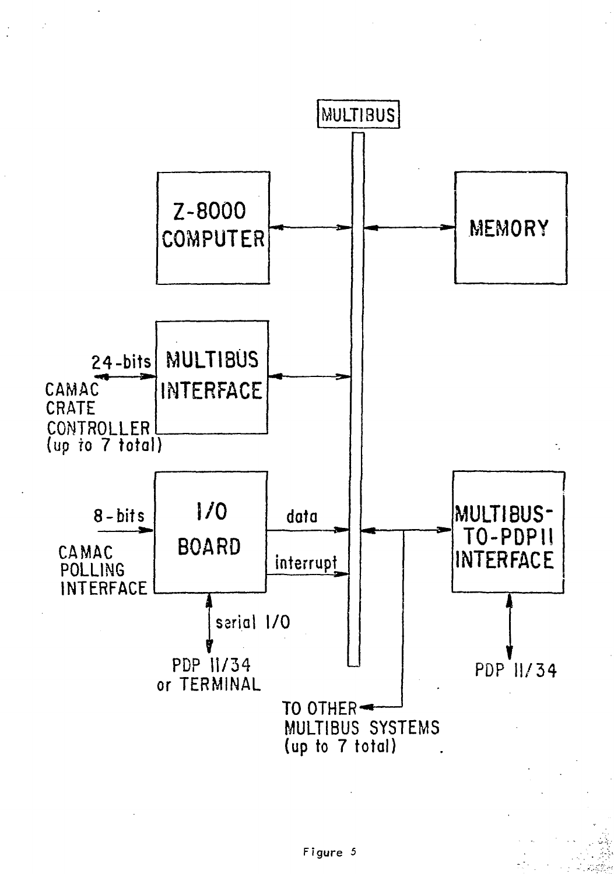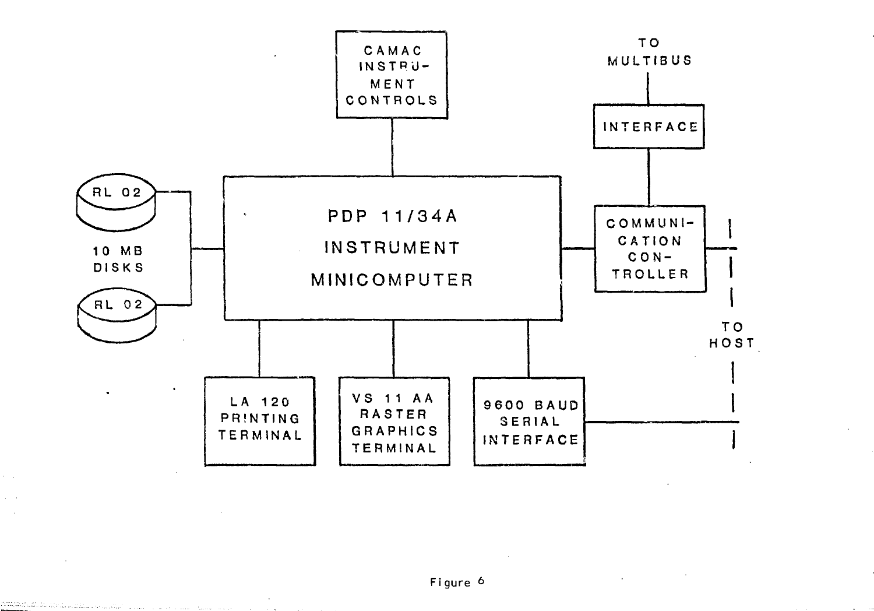

 $\alpha = 1$  $\Delta \sim 10^4$  $\sim 10$ 

<u> 1998 - 19</u>94 - 1994 - 1994 - 1995 - 1996 - 1997 - 1998 - 1999 - 1999 - 1999 - 1999 - 1999 - 1999 - 1999 - 1999

**Contract Contract** 

 $\sim$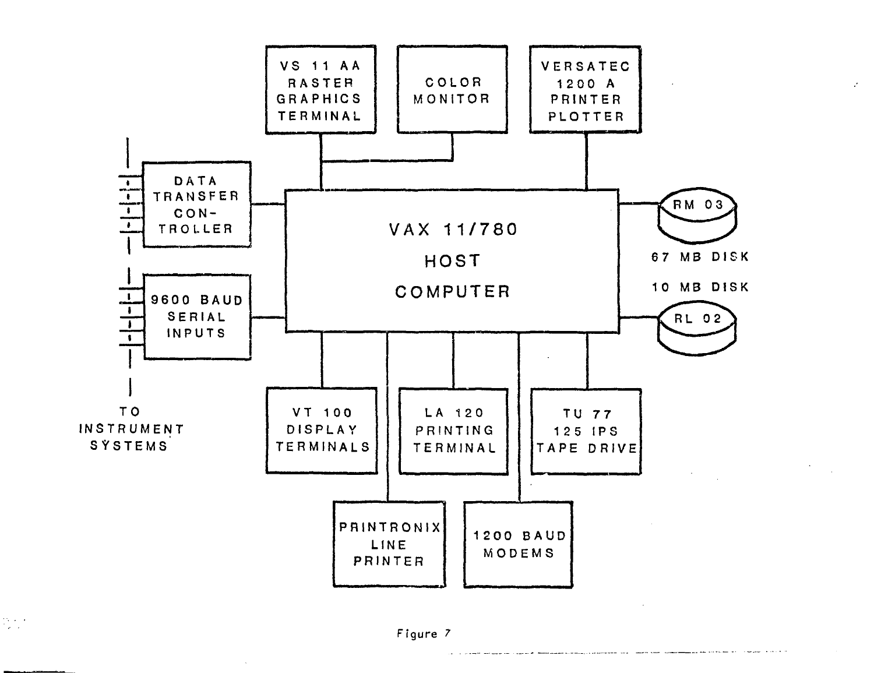

# Figure 7

 $\frac{1}{2} \sum_{i=1}^{n} \frac{1}{i}$ 

 $\mathcal{F}^{\pm}$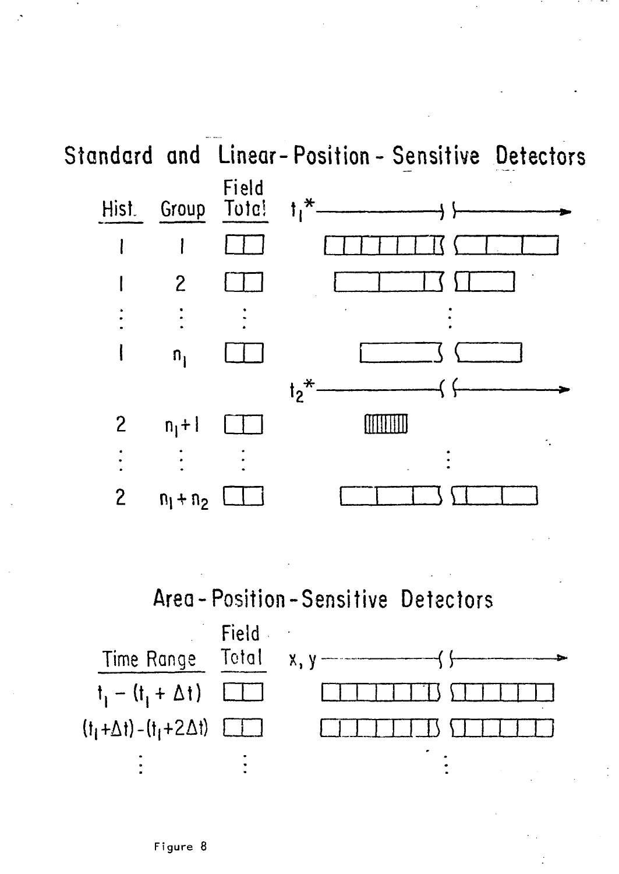